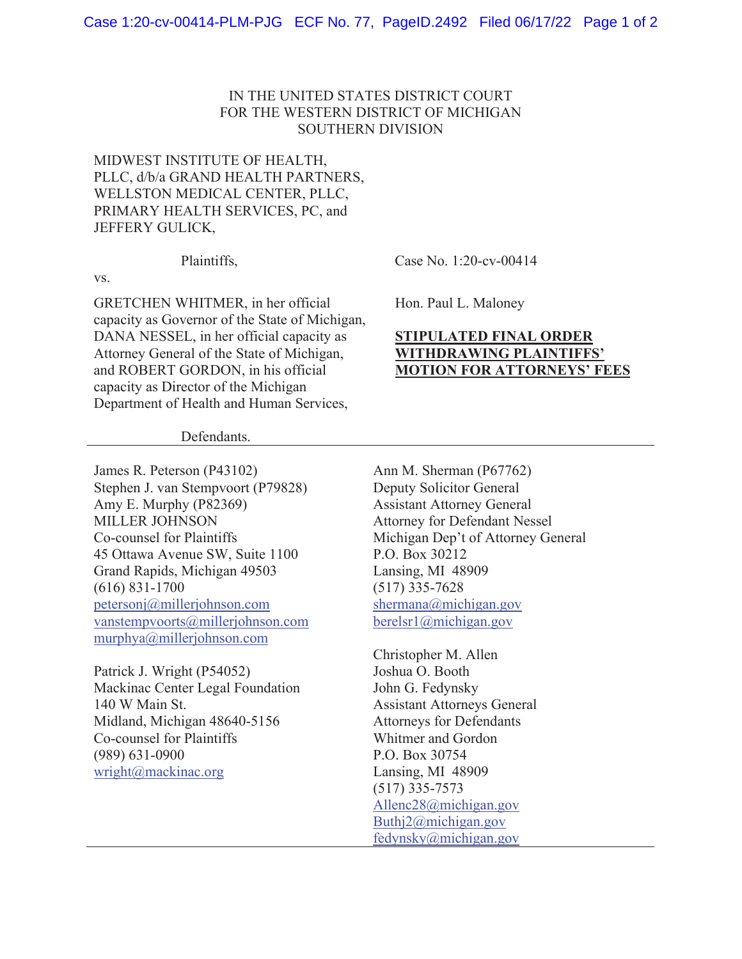## IN THE UNITED STATES DISTRICT COURT FOR THE WESTERN DISTRICT OF MICHIGAN SOUTHERN DIVISION

## MIDWEST INSTITUTE OF HEALTH, PLLC, d/b/a GRAND HEALTH PARTNERS, WELLSTON MEDICAL CENTER, PLLC, PRIMARY HEALTH SERVICES, PC, and JEFFERY GULICK,

Plaintiffs, Case No. 1:20-cv-00414

vs.

GRETCHEN WHITMER, in her official capacity as Governor of the State of Michigan, DANA NESSEL, in her official capacity as Attorney General of the State of Michigan, and ROBERT GORDON, in his official capacity as Director of the Michigan Department of Health and Human Services,

Hon. Paul L. Maloney

## **STIPULATED FINAL ORDER WITHDRAWING PLAINTIFFS' MOTION FOR ATTORNEYS' FEES**

Defendants.

James R. Peterson (P43102) Stephen J. van Stempvoort (P79828) Amy E. Murphy (P82369) MILLER JOHNSON Co-counsel for Plaintiffs 45 Ottawa Avenue SW, Suite 1100 Grand Rapids, Michigan 49503 (616) 831-1700 petersonj@millerjohnson.com vanstempvoorts@millerjohnson.com murphya@millerjohnson.com

Patrick J. Wright (P54052) Mackinac Center Legal Foundation 140 W Main St. Midland, Michigan 48640-5156 Co-counsel for Plaintiffs (989) 631-0900 wright@mackinac.org

Ann M. Sherman (P67762) Deputy Solicitor General Assistant Attorney General Attorney for Defendant Nessel Michigan Dep't of Attorney General P.O. Box 30212 Lansing, MI 48909 (517) 335-7628 shermana@michigan.gov berelsr1@michigan.gov

Christopher M. Allen Joshua O. Booth John G. Fedynsky Assistant Attorneys General Attorneys for Defendants Whitmer and Gordon P.O. Box 30754 Lansing, MI 48909 (517) 335-7573 Allenc28@michigan.gov Buthj2@michigan.gov fedynsky@michigan.gov